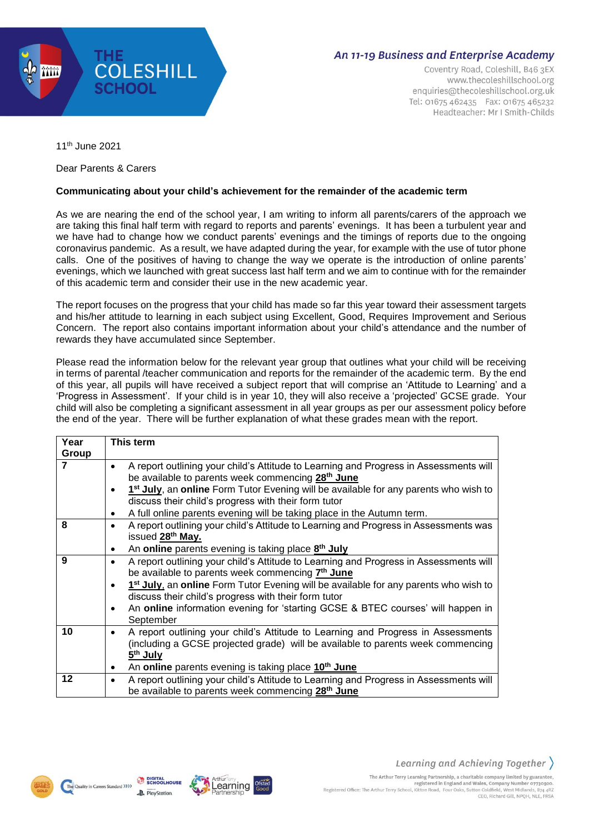

## An 11-19 Business and Enterprise Academy

Coventry Road, Coleshill, B46 3EX www.thecoleshillschool.org enquiries@thecoleshillschool.org.uk Tel: 01675 462435 Fax: 01675 465232 Headteacher: Mr J Smith-Childs

11th June 2021

Dear Parents & Carers

## **Communicating about your child's achievement for the remainder of the academic term**

As we are nearing the end of the school year, I am writing to inform all parents/carers of the approach we are taking this final half term with regard to reports and parents' evenings. It has been a turbulent year and we have had to change how we conduct parents' evenings and the timings of reports due to the ongoing coronavirus pandemic. As a result, we have adapted during the year, for example with the use of tutor phone calls. One of the positives of having to change the way we operate is the introduction of online parents' evenings, which we launched with great success last half term and we aim to continue with for the remainder of this academic term and consider their use in the new academic year.

The report focuses on the progress that your child has made so far this year toward their assessment targets and his/her attitude to learning in each subject using Excellent, Good, Requires Improvement and Serious Concern. The report also contains important information about your child's attendance and the number of rewards they have accumulated since September.

Please read the information below for the relevant year group that outlines what your child will be receiving in terms of parental /teacher communication and reports for the remainder of the academic term. By the end of this year, all pupils will have received a subject report that will comprise an 'Attitude to Learning' and a 'Progress in Assessment'. If your child is in year 10, they will also receive a 'projected' GCSE grade. Your child will also be completing a significant assessment in all year groups as per our assessment policy before the end of the year. There will be further explanation of what these grades mean with the report.

| Year    | This term                                                                                                                                                                                   |
|---------|---------------------------------------------------------------------------------------------------------------------------------------------------------------------------------------------|
| Group   |                                                                                                                                                                                             |
| 7       | A report outlining your child's Attitude to Learning and Progress in Assessments will<br>be available to parents week commencing 28 <sup>th</sup> June                                      |
|         | 1 <sup>st</sup> July, an online Form Tutor Evening will be available for any parents who wish to<br>discuss their child's progress with their form tutor                                    |
|         | A full online parents evening will be taking place in the Autumn term.                                                                                                                      |
| 8       | A report outlining your child's Attitude to Learning and Progress in Assessments was<br>issued 28 <sup>th</sup> May.                                                                        |
|         | An online parents evening is taking place 8 <sup>th</sup> July                                                                                                                              |
| 9       | A report outlining your child's Attitude to Learning and Progress in Assessments will<br>be available to parents week commencing 7 <sup>th</sup> June                                       |
|         | 1 <sup>st</sup> July, an online Form Tutor Evening will be available for any parents who wish to<br>discuss their child's progress with their form tutor                                    |
|         | An online information evening for 'starting GCSE & BTEC courses' will happen in<br>٠<br>September                                                                                           |
| 10      | A report outlining your child's Attitude to Learning and Progress in Assessments<br>(including a GCSE projected grade) will be available to parents week commencing<br>5 <sup>th</sup> July |
|         | An online parents evening is taking place 10 <sup>th</sup> June                                                                                                                             |
| $12 \,$ | A report outlining your child's Attitude to Learning and Progress in Assessments will<br>be available to parents week commencing 28 <sup>th</sup> June                                      |

 $Arthir$ 

earning

**DIGITAL** 

**P**. PlayStation

The Quality in Careers Standard >>>>>